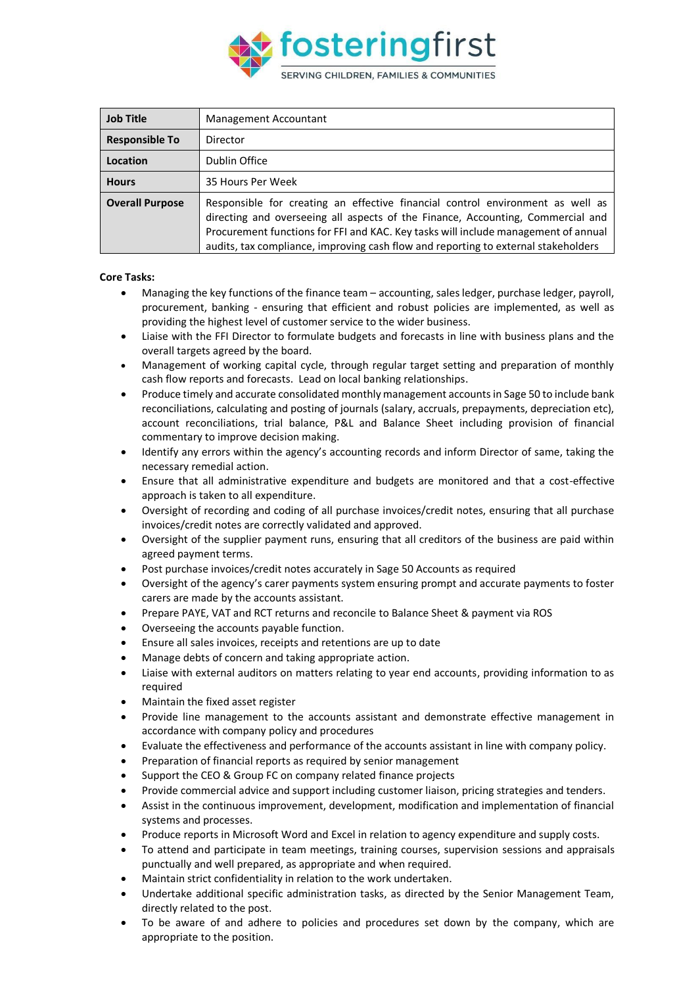

| <b>Job Title</b>       | <b>Management Accountant</b>                                                                                                                                                                                                                                                                                                                  |
|------------------------|-----------------------------------------------------------------------------------------------------------------------------------------------------------------------------------------------------------------------------------------------------------------------------------------------------------------------------------------------|
| <b>Responsible To</b>  | Director                                                                                                                                                                                                                                                                                                                                      |
| Location               | Dublin Office                                                                                                                                                                                                                                                                                                                                 |
| <b>Hours</b>           | 35 Hours Per Week                                                                                                                                                                                                                                                                                                                             |
| <b>Overall Purpose</b> | Responsible for creating an effective financial control environment as well as<br>directing and overseeing all aspects of the Finance, Accounting, Commercial and<br>Procurement functions for FFI and KAC. Key tasks will include management of annual<br>audits, tax compliance, improving cash flow and reporting to external stakeholders |

## **Core Tasks:**

- Managing the key functions of the finance team accounting, sales ledger, purchase ledger, payroll, procurement, banking - ensuring that efficient and robust policies are implemented, as well as providing the highest level of customer service to the wider business.
- Liaise with the FFI Director to formulate budgets and forecasts in line with business plans and the overall targets agreed by the board.
- Management of working capital cycle, through regular target setting and preparation of monthly cash flow reports and forecasts. Lead on local banking relationships.
- Produce timely and accurate consolidated monthly management accounts in Sage 50 to include bank reconciliations, calculating and posting of journals (salary, accruals, prepayments, depreciation etc), account reconciliations, trial balance, P&L and Balance Sheet including provision of financial commentary to improve decision making.
- Identify any errors within the agency's accounting records and inform Director of same, taking the necessary remedial action.
- Ensure that all administrative expenditure and budgets are monitored and that a cost-effective approach is taken to all expenditure.
- Oversight of recording and coding of all purchase invoices/credit notes, ensuring that all purchase invoices/credit notes are correctly validated and approved.
- Oversight of the supplier payment runs, ensuring that all creditors of the business are paid within agreed payment terms.
- Post purchase invoices/credit notes accurately in Sage 50 Accounts as required
- Oversight of the agency's carer payments system ensuring prompt and accurate payments to foster carers are made by the accounts assistant.
- Prepare PAYE, VAT and RCT returns and reconcile to Balance Sheet & payment via ROS
- Overseeing the accounts payable function.
- Ensure all sales invoices, receipts and retentions are up to date
- Manage debts of concern and taking appropriate action.
- Liaise with external auditors on matters relating to year end accounts, providing information to as required
- Maintain the fixed asset register
- Provide line management to the accounts assistant and demonstrate effective management in accordance with company policy and procedures
- Evaluate the effectiveness and performance of the accounts assistant in line with company policy.
- Preparation of financial reports as required by senior management
- Support the CEO & Group FC on company related finance projects
- Provide commercial advice and support including customer liaison, pricing strategies and tenders.
- Assist in the continuous improvement, development, modification and implementation of financial systems and processes.
- Produce reports in Microsoft Word and Excel in relation to agency expenditure and supply costs.
- To attend and participate in team meetings, training courses, supervision sessions and appraisals punctually and well prepared, as appropriate and when required.
- Maintain strict confidentiality in relation to the work undertaken.
- Undertake additional specific administration tasks, as directed by the Senior Management Team, directly related to the post.
- To be aware of and adhere to policies and procedures set down by the company, which are appropriate to the position.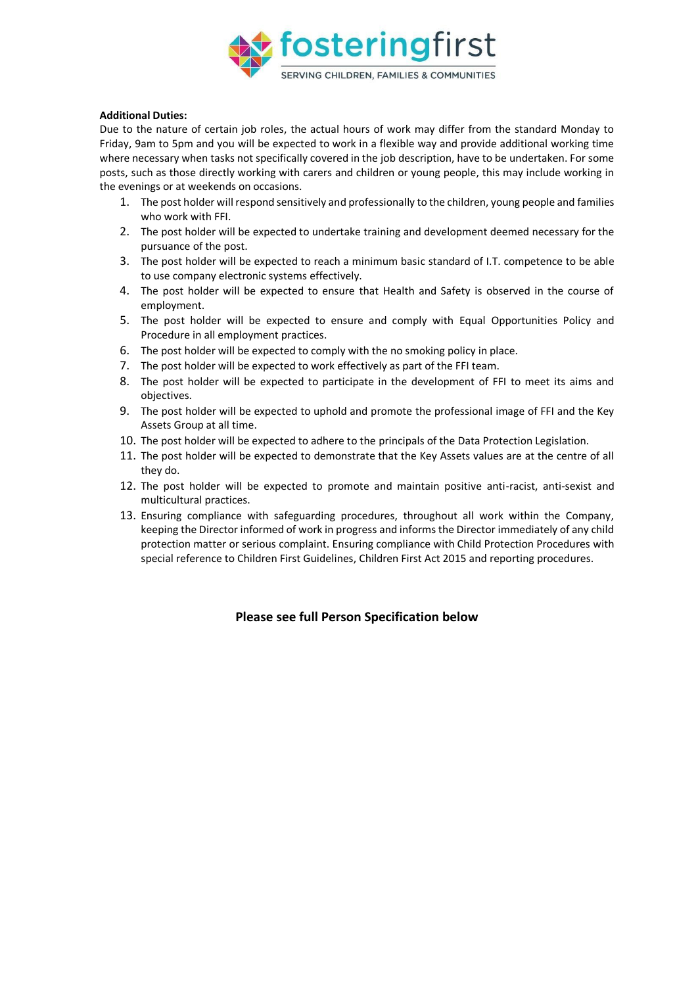

## **Additional Duties:**

Due to the nature of certain job roles, the actual hours of work may differ from the standard Monday to Friday, 9am to 5pm and you will be expected to work in a flexible way and provide additional working time where necessary when tasks not specifically covered in the job description, have to be undertaken. For some posts, such as those directly working with carers and children or young people, this may include working in the evenings or at weekends on occasions.

- 1. The post holder will respond sensitively and professionally to the children, young people and families who work with FFI.
- 2. The post holder will be expected to undertake training and development deemed necessary for the pursuance of the post.
- 3. The post holder will be expected to reach a minimum basic standard of I.T. competence to be able to use company electronic systems effectively.
- 4. The post holder will be expected to ensure that Health and Safety is observed in the course of employment.
- 5. The post holder will be expected to ensure and comply with Equal Opportunities Policy and Procedure in all employment practices.
- 6. The post holder will be expected to comply with the no smoking policy in place.
- 7. The post holder will be expected to work effectively as part of the FFI team.
- 8. The post holder will be expected to participate in the development of FFI to meet its aims and objectives.
- 9. The post holder will be expected to uphold and promote the professional image of FFI and the Key Assets Group at all time.
- 10. The post holder will be expected to adhere to the principals of the Data Protection Legislation.
- 11. The post holder will be expected to demonstrate that the Key Assets values are at the centre of all they do.
- 12. The post holder will be expected to promote and maintain positive anti-racist, anti-sexist and multicultural practices.
- 13. Ensuring compliance with safeguarding procedures, throughout all work within the Company, keeping the Director informed of work in progress and informs the Director immediately of any child protection matter or serious complaint. Ensuring compliance with Child Protection Procedures with special reference to Children First Guidelines, Children First Act 2015 and reporting procedures.

## **Please see full Person Specification below**